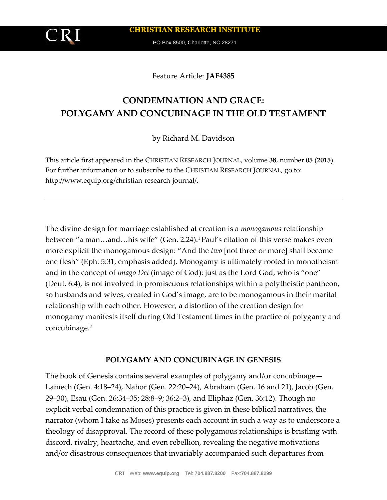**CHRISTIAN RESEARCH INSTITUTE**

PO Box 8500, Charlotte, NC 28271

Feature Article: **JAF4385**

# **CONDEMNATION AND GRACE: POLYGAMY AND CONCUBINAGE IN THE OLD TESTAMENT**

by Richard M. Davidson

This article first appeared in the CHRISTIAN RESEARCH JOURNAL, volume **38**, number **05** (**2015**). For further information or to subscribe to the CHRISTIAN RESEARCH JOURNAL, go to: http://www.equip.org/christian-research-journal/.

The divine design for marriage established at creation is a *monogamous* relationship between "a man…and…his wife" (Gen. 2:24).1 Paul's citation of this verse makes even more explicit the monogamous design: "And the *two* [not three or more] shall become one flesh" (Eph. 5:31, emphasis added). Monogamy is ultimately rooted in monotheism and in the concept of *imago Dei* (image of God): just as the Lord God, who is "one" (Deut. 6:4), is not involved in promiscuous relationships within a polytheistic pantheon, so husbands and wives, created in God's image, are to be monogamous in their marital relationship with each other. However, a distortion of the creation design for monogamy manifests itself during Old Testament times in the practice of polygamy and concubinage.<sup>2</sup>

## **POLYGAMY AND CONCUBINAGE IN GENESIS**

The book of Genesis contains several examples of polygamy and/or concubinage— Lamech (Gen. 4:18–24), Nahor (Gen. 22:20–24), Abraham (Gen. 16 and 21), Jacob (Gen. 29–30), Esau (Gen. 26:34–35; 28:8–9; 36:2–3), and Eliphaz (Gen. 36:12). Though no explicit verbal condemnation of this practice is given in these biblical narratives, the narrator (whom I take as Moses) presents each account in such a way as to underscore a theology of disapproval. The record of these polygamous relationships is bristling with discord, rivalry, heartache, and even rebellion, revealing the negative motivations and/or disastrous consequences that invariably accompanied such departures from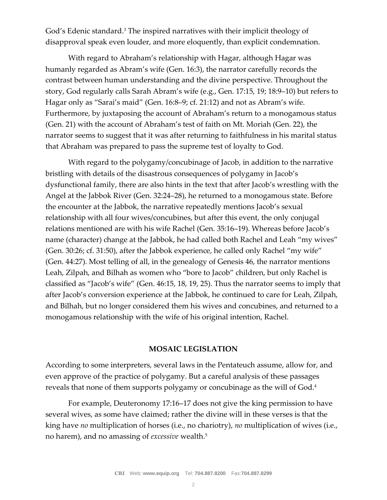God's Edenic standard.<sup>3</sup> The inspired narratives with their implicit theology of disapproval speak even louder, and more eloquently, than explicit condemnation.

With regard to Abraham's relationship with Hagar, although Hagar was humanly regarded as Abram's wife (Gen. 16:3), the narrator carefully records the contrast between human understanding and the divine perspective. Throughout the story, God regularly calls Sarah Abram's wife (e.g., Gen. 17:15, 19; 18:9–10) but refers to Hagar only as "Sarai's maid" (Gen. 16:8–9; cf. 21:12) and not as Abram's wife. Furthermore, by juxtaposing the account of Abraham's return to a monogamous status (Gen. 21) with the account of Abraham's test of faith on Mt. Moriah (Gen. 22), the narrator seems to suggest that it was after returning to faithfulness in his marital status that Abraham was prepared to pass the supreme test of loyalty to God.

With regard to the polygamy/concubinage of Jacob, in addition to the narrative bristling with details of the disastrous consequences of polygamy in Jacob's dysfunctional family, there are also hints in the text that after Jacob's wrestling with the Angel at the Jabbok River (Gen. 32:24–28), he returned to a monogamous state. Before the encounter at the Jabbok, the narrative repeatedly mentions Jacob's sexual relationship with all four wives/concubines, but after this event, the only conjugal relations mentioned are with his wife Rachel (Gen. 35:16–19). Whereas before Jacob's name (character) change at the Jabbok, he had called both Rachel and Leah "my wives" (Gen. 30:26; cf. 31:50), after the Jabbok experience, he called only Rachel "my wife" (Gen. 44:27). Most telling of all, in the genealogy of Genesis 46, the narrator mentions Leah, Zilpah, and Bilhah as women who "bore to Jacob" children, but only Rachel is classified as "Jacob's wife" (Gen. 46:15, 18, 19, 25). Thus the narrator seems to imply that after Jacob's conversion experience at the Jabbok, he continued to care for Leah, Zilpah, and Bilhah, but no longer considered them his wives and concubines, and returned to a monogamous relationship with the wife of his original intention, Rachel.

## **MOSAIC LEGISLATION**

According to some interpreters, several laws in the Pentateuch assume, allow for, and even approve of the practice of polygamy. But a careful analysis of these passages reveals that none of them supports polygamy or concubinage as the will of God.<sup>4</sup>

For example, Deuteronomy 17:16–17 does not give the king permission to have several wives, as some have claimed; rather the divine will in these verses is that the king have *no* multiplication of horses (i.e., no chariotry), *no* multiplication of wives (i.e., no harem), and no amassing of *excessive* wealth.<sup>5</sup>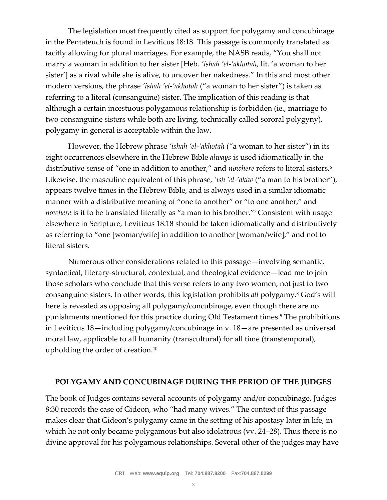The legislation most frequently cited as support for polygamy and concubinage in the Pentateuch is found in Leviticus 18:18. This passage is commonly translated as tacitly allowing for plural marriages. For example, the NASB reads, "You shall not marry a woman in addition to her sister [Heb. *'ishah 'el-'akhotah*, lit. 'a woman to her sister'] as a rival while she is alive, to uncover her nakedness." In this and most other modern versions, the phrase *'ishah 'el-'akhotah* ("a woman to her sister") is taken as referring to a literal (consanguine) sister. The implication of this reading is that although a certain incestuous polygamous relationship is forbidden (ie., marriage to two consanguine sisters while both are living, technically called sororal polygyny), polygamy in general is acceptable within the law.

However, the Hebrew phrase *'ishah 'el-'akhotah* ("a woman to her sister") in its eight occurrences elsewhere in the Hebrew Bible *always* is used idiomatically in the distributive sense of "one in addition to another," and *nowhere* refers to literal sisters.<sup>6</sup> Likewise, the masculine equivalent of this phrase, *'ish 'el-'akiw* ("a man to his brother"), appears twelve times in the Hebrew Bible, and is always used in a similar idiomatic manner with a distributive meaning of "one to another" or "to one another," and *nowhere* is it to be translated literally as "a man to his brother."<sup>7</sup> Consistent with usage elsewhere in Scripture, Leviticus 18:18 should be taken idiomatically and distributively as referring to "one [woman/wife] in addition to another [woman/wife]," and not to literal sisters.

Numerous other considerations related to this passage—involving semantic, syntactical, literary-structural, contextual, and theological evidence—lead me to join those scholars who conclude that this verse refers to any two women, not just to two consanguine sisters. In other words, this legislation prohibits *all* polygamy.<sup>8</sup> God's will here is revealed as opposing all polygamy/concubinage, even though there are no punishments mentioned for this practice during Old Testament times.<sup>9</sup> The prohibitions in Leviticus 18—including polygamy/concubinage in v. 18—are presented as universal moral law, applicable to all humanity (transcultural) for all time (transtemporal), upholding the order of creation.<sup>10</sup>

### **POLYGAMY AND CONCUBINAGE DURING THE PERIOD OF THE JUDGES**

The book of Judges contains several accounts of polygamy and/or concubinage. Judges 8:30 records the case of Gideon, who "had many wives." The context of this passage makes clear that Gideon's polygamy came in the setting of his apostasy later in life, in which he not only became polygamous but also idolatrous (vv. 24–28). Thus there is no divine approval for his polygamous relationships. Several other of the judges may have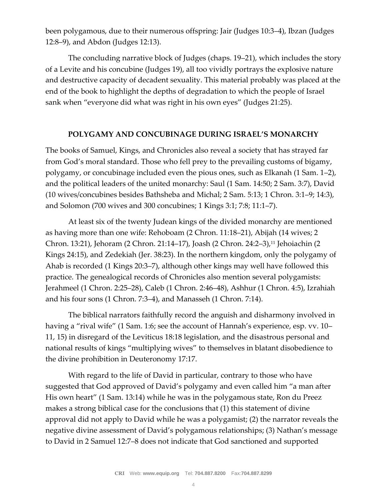been polygamous, due to their numerous offspring: Jair (Judges 10:3–4), Ibzan (Judges 12:8–9), and Abdon (Judges 12:13).

The concluding narrative block of Judges (chaps. 19–21), which includes the story of a Levite and his concubine (Judges 19), all too vividly portrays the explosive nature and destructive capacity of decadent sexuality. This material probably was placed at the end of the book to highlight the depths of degradation to which the people of Israel sank when "everyone did what was right in his own eyes" (Judges 21:25).

## **POLYGAMY AND CONCUBINAGE DURING ISRAEL'S MONARCHY**

The books of Samuel, Kings, and Chronicles also reveal a society that has strayed far from God's moral standard. Those who fell prey to the prevailing customs of bigamy, polygamy, or concubinage included even the pious ones, such as Elkanah (1 Sam. 1–2), and the political leaders of the united monarchy: Saul (1 Sam. 14:50; 2 Sam. 3:7), David (10 wives/concubines besides Bathsheba and Michal; 2 Sam. 5:13; 1 Chron. 3:1–9; 14:3), and Solomon (700 wives and 300 concubines; 1 Kings 3:1; 7:8; 11:1–7).

At least six of the twenty Judean kings of the divided monarchy are mentioned as having more than one wife: Rehoboam (2 Chron. 11:18–21), Abijah (14 wives; 2 Chron. 13:21), Jehoram (2 Chron. 21:14–17), Joash (2 Chron. 24:2–3),<sup>11</sup> Jehoiachin (2 Kings 24:15), and Zedekiah (Jer. 38:23). In the northern kingdom, only the polygamy of Ahab is recorded (1 Kings 20:3–7), although other kings may well have followed this practice. The genealogical records of Chronicles also mention several polygamists: Jerahmeel (1 Chron. 2:25–28), Caleb (1 Chron. 2:46–48), Ashhur (1 Chron. 4:5), Izrahiah and his four sons (1 Chron. 7:3–4), and Manasseh (1 Chron. 7:14).

The biblical narrators faithfully record the anguish and disharmony involved in having a "rival wife" (1 Sam. 1:6; see the account of Hannah's experience, esp. vv. 10– 11, 15) in disregard of the Leviticus 18:18 legislation, and the disastrous personal and national results of kings "multiplying wives" to themselves in blatant disobedience to the divine prohibition in Deuteronomy 17:17.

With regard to the life of David in particular, contrary to those who have suggested that God approved of David's polygamy and even called him "a man after His own heart" (1 Sam. 13:14) while he was in the polygamous state, Ron du Preez makes a strong biblical case for the conclusions that (1) this statement of divine approval did not apply to David while he was a polygamist; (2) the narrator reveals the negative divine assessment of David's polygamous relationships; (3) Nathan's message to David in 2 Samuel 12:7–8 does not indicate that God sanctioned and supported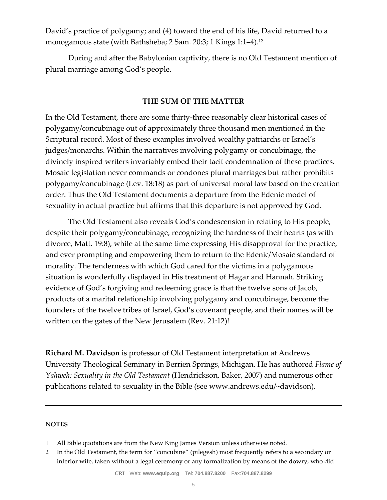David's practice of polygamy; and (4) toward the end of his life, David returned to a monogamous state (with Bathsheba; 2 Sam. 20:3; 1 Kings 1:1–4).<sup>12</sup>

During and after the Babylonian captivity, there is no Old Testament mention of plural marriage among God's people.

## **THE SUM OF THE MATTER**

In the Old Testament, there are some thirty-three reasonably clear historical cases of polygamy/concubinage out of approximately three thousand men mentioned in the Scriptural record. Most of these examples involved wealthy patriarchs or Israel's judges/monarchs. Within the narratives involving polygamy or concubinage, the divinely inspired writers invariably embed their tacit condemnation of these practices. Mosaic legislation never commands or condones plural marriages but rather prohibits polygamy/concubinage (Lev. 18:18) as part of universal moral law based on the creation order. Thus the Old Testament documents a departure from the Edenic model of sexuality in actual practice but affirms that this departure is not approved by God.

The Old Testament also reveals God's condescension in relating to His people, despite their polygamy/concubinage, recognizing the hardness of their hearts (as with divorce, Matt. 19:8), while at the same time expressing His disapproval for the practice, and ever prompting and empowering them to return to the Edenic/Mosaic standard of morality. The tenderness with which God cared for the victims in a polygamous situation is wonderfully displayed in His treatment of Hagar and Hannah. Striking evidence of God's forgiving and redeeming grace is that the twelve sons of Jacob, products of a marital relationship involving polygamy and concubinage, become the founders of the twelve tribes of Israel, God's covenant people, and their names will be written on the gates of the New Jerusalem (Rev. 21:12)!

**Richard M. Davidson** is professor of Old Testament interpretation at Andrews University Theological Seminary in Berrien Springs, Michigan. He has authored *Flame of Yahweh: Sexuality in the Old Testament* (Hendrickson, Baker, 2007) and numerous other publications related to sexuality in the Bible (see www.andrews.edu/~davidson).

#### **NOTES**

- 1 All Bible quotations are from the New King James Version unless otherwise noted.
- 2 In the Old Testament, the term for "concubine" (pilegesh) most frequently refers to a secondary or inferior wife, taken without a legal ceremony or any formalization by means of the dowry, who did